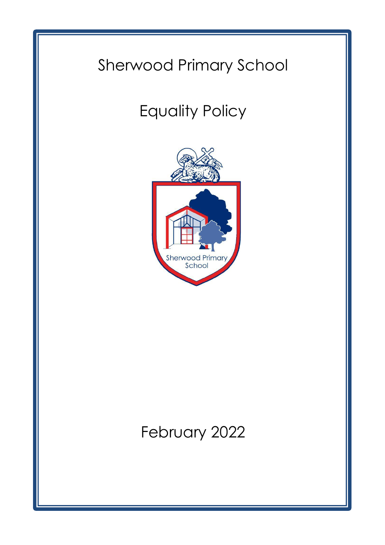## Sherwood Primary School

# Equality Policy



## February 2022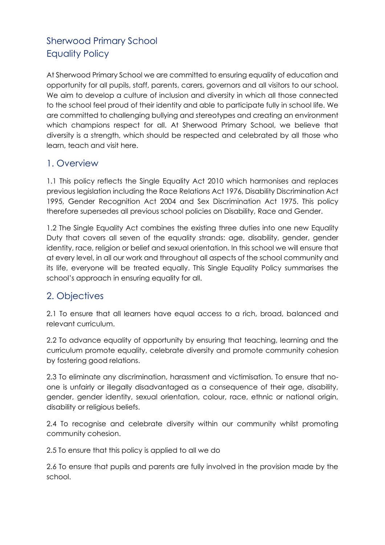## Sherwood Primary School Equality Policy

At Sherwood Primary School we are committed to ensuring equality of education and opportunity for all pupils, staff, parents, carers, governors and all visitors to our school. We aim to develop a culture of inclusion and diversity in which all those connected to the school feel proud of their identity and able to participate fully in school life. We are committed to challenging bullying and stereotypes and creating an environment which champions respect for all. At Sherwood Primary School, we believe that diversity is a strength, which should be respected and celebrated by all those who learn, teach and visit here.

#### 1. Overview

1.1 This policy reflects the Single Equality Act 2010 which harmonises and replaces previous legislation including the Race Relations Act 1976, Disability Discrimination Act 1995, Gender Recognition Act 2004 and Sex Discrimination Act 1975. This policy therefore supersedes all previous school policies on Disability, Race and Gender.

1.2 The Single Equality Act combines the existing three duties into one new Equality Duty that covers all seven of the equality strands: age, disability, gender, gender identity, race, religion or belief and sexual orientation. In this school we will ensure that at every level, in all our work and throughout all aspects of the school community and its life, everyone will be treated equally. This Single Equality Policy summarises the school's approach in ensuring equality for all.

### 2. Objectives

2.1 To ensure that all learners have equal access to a rich, broad, balanced and relevant curriculum.

2.2 To advance equality of opportunity by ensuring that teaching, learning and the curriculum promote equality, celebrate diversity and promote community cohesion by fostering good relations.

2.3 To eliminate any discrimination, harassment and victimisation. To ensure that noone is unfairly or illegally disadvantaged as a consequence of their age, disability, gender, gender identity, sexual orientation, colour, race, ethnic or national origin, disability or religious beliefs.

2.4 To recognise and celebrate diversity within our community whilst promoting community cohesion.

2.5 To ensure that this policy is applied to all we do

2.6 To ensure that pupils and parents are fully involved in the provision made by the school.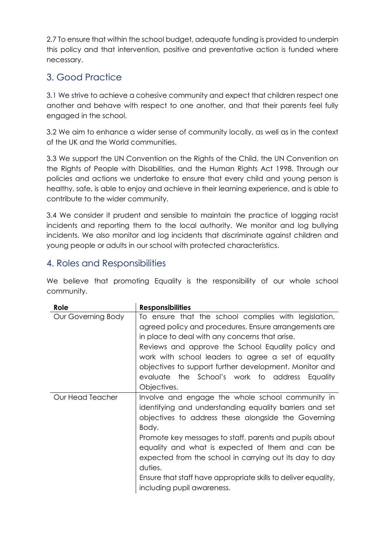2.7 To ensure that within the school budget, adequate funding is provided to underpin this policy and that intervention, positive and preventative action is funded where necessary.

## 3. Good Practice

3.1 We strive to achieve a cohesive community and expect that children respect one another and behave with respect to one another, and that their parents feel fully engaged in the school.

3.2 We aim to enhance a wider sense of community locally, as well as in the context of the UK and the World communities.

3.3 We support the UN Convention on the Rights of the Child, the UN Convention on the Rights of People with Disabilities, and the Human Rights Act 1998. Through our policies and actions we undertake to ensure that every child and young person is healthy, safe, is able to enjoy and achieve in their learning experience, and is able to contribute to the wider community.

3.4 We consider it prudent and sensible to maintain the practice of logging racist incidents and reporting them to the local authority. We monitor and log bullying incidents. We also monitor and log incidents that discriminate against children and young people or adults in our school with protected characteristics.

#### 4. Roles and Responsibilities

We believe that promoting Equality is the responsibility of our whole school community.

| Role               | <b>Responsibilities</b>                                                                                                                                                                                                                                                                                                                                                                     |
|--------------------|---------------------------------------------------------------------------------------------------------------------------------------------------------------------------------------------------------------------------------------------------------------------------------------------------------------------------------------------------------------------------------------------|
| Our Governing Body | To ensure that the school complies with legislation,<br>agreed policy and procedures. Ensure arrangements are<br>in place to deal with any concerns that arise.<br>Reviews and approve the School Equality policy and<br>work with school leaders to agree a set of equality<br>objectives to support further development. Monitor and<br>evaluate the School's work to address<br>Equality |
| Our Head Teacher   | Objectives.<br>Involve and engage the whole school community in                                                                                                                                                                                                                                                                                                                             |
|                    | identifying and understanding equality barriers and set<br>objectives to address these alongside the Governing<br>Body.                                                                                                                                                                                                                                                                     |
|                    | Promote key messages to staff, parents and pupils about<br>equality and what is expected of them and can be<br>expected from the school in carrying out its day to day<br>duties.                                                                                                                                                                                                           |
|                    | Ensure that staff have appropriate skills to deliver equality,<br>including pupil awareness.                                                                                                                                                                                                                                                                                                |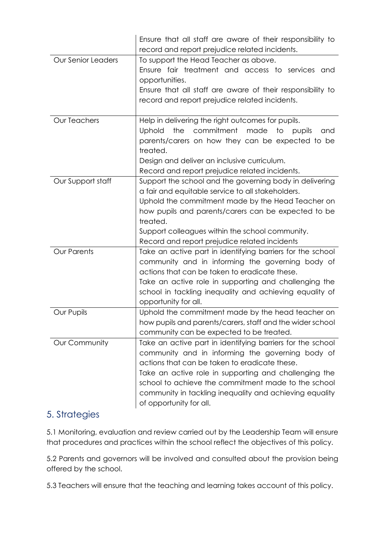|                           | Ensure that all staff are aware of their responsibility to        |
|---------------------------|-------------------------------------------------------------------|
|                           | record and report prejudice related incidents.                    |
| <b>Our Senior Leaders</b> | To support the Head Teacher as above.                             |
|                           | Ensure fair treatment and access to services and                  |
|                           | opportunities.                                                    |
|                           | Ensure that all staff are aware of their responsibility to        |
|                           | record and report prejudice related incidents.                    |
|                           |                                                                   |
| <b>Our Teachers</b>       | Help in delivering the right outcomes for pupils.                 |
|                           | commitment<br>the<br>made<br>to<br><b>Uphold</b><br>pupils<br>and |
|                           | parents/carers on how they can be expected to be                  |
|                           | treated.                                                          |
|                           | Design and deliver an inclusive curriculum.                       |
|                           | Record and report prejudice related incidents.                    |
| Our Support staff         | Support the school and the governing body in delivering           |
|                           | a fair and equitable service to all stakeholders.                 |
|                           | Uphold the commitment made by the Head Teacher on                 |
|                           | how pupils and parents/carers can be expected to be               |
|                           | treated.                                                          |
|                           |                                                                   |
|                           | Support colleagues within the school community.                   |
|                           | Record and report prejudice related incidents                     |
| <b>Our Parents</b>        | Take an active part in identifying barriers for the school        |
|                           | community and in informing the governing body of                  |
|                           | actions that can be taken to eradicate these.                     |
|                           | Take an active role in supporting and challenging the             |
|                           | school in tackling inequality and achieving equality of           |
|                           | opportunity for all.                                              |
| Our Pupils                | Uphold the commitment made by the head teacher on                 |
|                           | how pupils and parents/carers, staff and the wider school         |
|                           | community can be expected to be treated.                          |
| Our Community             | Take an active part in identifying barriers for the school        |
|                           | community and in informing the governing body of                  |
|                           | actions that can be taken to eradicate these.                     |
|                           | Take an active role in supporting and challenging the             |
|                           | school to achieve the commitment made to the school               |
|                           | community in tackling inequality and achieving equality           |

#### 5. Strategies

5.1 Monitoring, evaluation and review carried out by the Leadership Team will ensure that procedures and practices within the school reflect the objectives of this policy.

5.2 Parents and governors will be involved and consulted about the provision being offered by the school.

5.3 Teachers will ensure that the teaching and learning takes account of this policy.